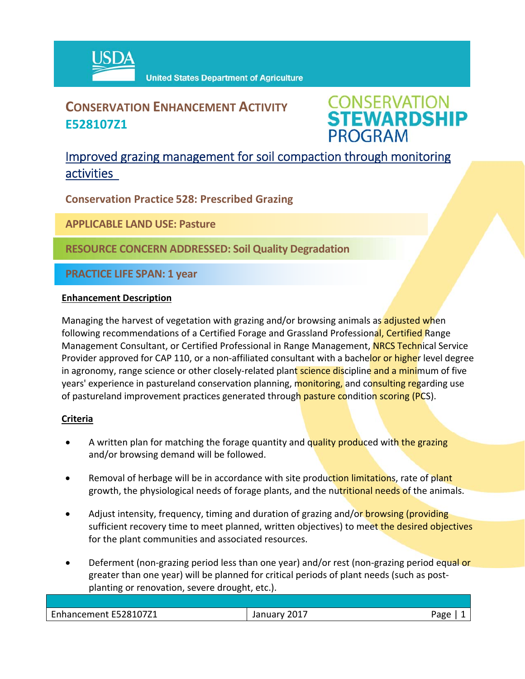

## **CONSERVATION ENHANCEMENT ACTIVITY E528107Z1**



## Improved grazing management for soil compaction through monitoring activities

**Conservation Practice 528: Prescribed Grazing**

**APPLICABLE LAND USE: Pasture**

**RESOURCE CONCERN ADDRESSED: Soil Quality Degradation**

**PRACTICE LIFE SPAN: 1 year**

#### **Enhancement Description**

Managing the harvest of vegetation with grazing and/or browsing animals as adjusted when following recommendations of a Certified Forage and Grassland Professional, Certified Range Management Consultant, or Certified Professional in Range Management, NRCS Technical Service Provider approved for CAP 110, or a non-affiliated consultant with a bachelor or higher level degree in agronomy, range science or other closely-related plant science discipline and a minimum of five years' experience in pastureland conservation planning, monitoring, and consulting regarding use of pastureland improvement practices generated through pasture condition scoring (PCS).

### **Criteria**

- A written plan for matching the forage quantity and quality produced with the grazing and/or browsing demand will be followed.
- Removal of herbage will be in accordance with site production limitations, rate of plant growth, the physiological needs of forage plants, and the nutritional needs of the animals.
- Adjust intensity, frequency, timing and duration of grazing and/or **browsing (providing** sufficient recovery time to meet planned, written objectives) to meet the desired objectives for the plant communities and associated resources.
- Deferment (non-grazing period less than one year) and/or rest (non-grazing period equal or greater than one year) will be planned for critical periods of plant needs (such as post‐ planting or renovation, severe drought, etc.).

| $\sim$<br>hancement E528107Z1 | 2017<br>.udi v | חסבי |
|-------------------------------|----------------|------|